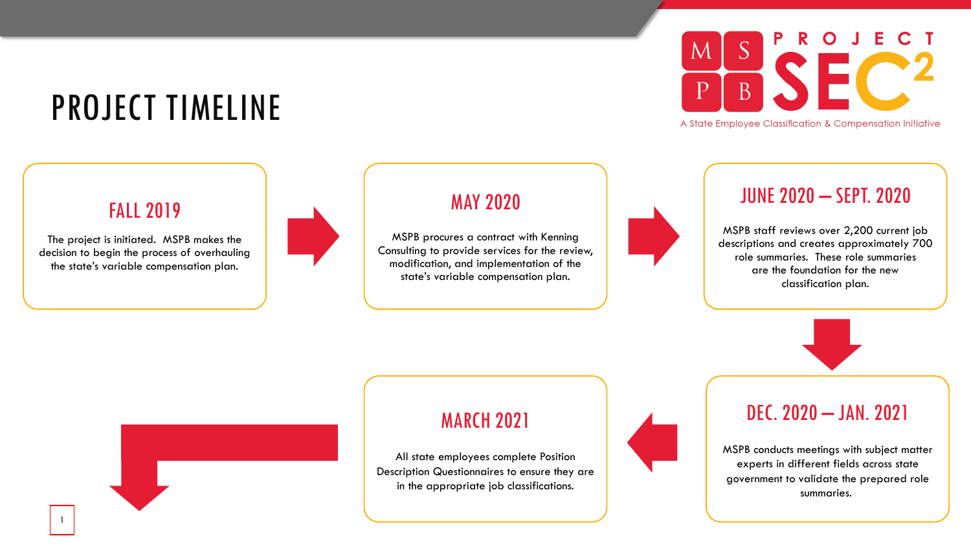## PROJECT TIMELINE

### FALL 2019

The project is initiated. MSPB makes the decision to begin the process of overhauling the state's variable compensation plan.

1



### MAY 2020

MSPB procures a contract with Kenning Consulting to provide services for the review, modification, and implementation of the state's variable compensation plan.



A State Employee Classification & Compensation Initiative

### JUNE 2020 – SEPT. 2020

MSPB staff reviews over 2,200 current job descriptions and creates approximately 700 role summaries. These role summaries are the foundation for the new classification plan.





### MARCH 2021

All state employees complete Position Description Questionnaires to ensure they are in the appropriate job classifications.



### DEC. 2020 – JAN. 2021

MSPB conducts meetings with subject matter experts in different fields across state government to validate the prepared role summaries.